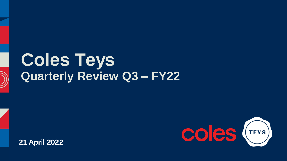# **Coles Teys Quarterly Review Q3 – FY22**

**21 April 2022**

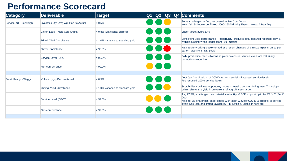#### **Performance Scorecard**

| <b>Category</b>          | Deliverable                           | <b>Target</b>                       |               |  | $Q1   Q2   Q3   Q4  $ Comments                                                                                                                                                                                                                                |
|--------------------------|---------------------------------------|-------------------------------------|---------------|--|---------------------------------------------------------------------------------------------------------------------------------------------------------------------------------------------------------------------------------------------------------------|
| Service Kill - Beenleigh | Livestock Qty/ Avg Wgt Plan to Actual | < 0.5%                              |               |  | Some challenges in Dec, recovered in Jan from floods.<br>Note: Q4. Schedule confirmed 2000-2500hd w kly Easter, Anzac & May Day                                                                                                                               |
|                          | Chiller Loss - Yield Cold Shrink      | < 0.8% (with spray chillers)        |               |  | Under target avg 0.57%                                                                                                                                                                                                                                        |
|                          | Primal Yield Compliance               | < 1.0% variance to standard yield   |               |  | Consistent yield performance – opportunity products data captured reported daily &<br>with discussing with broader team F/N meeting                                                                                                                           |
|                          | Carton Compliance                     | $>95.0\%$                           |               |  | Nath & site w orking closely to address recent changes of ctn size impacts on pc per<br>carton (also incl in F/N pack)                                                                                                                                        |
|                          | Service Level (DIFOT)                 | >98.5%                              |               |  | Daily production reconciliations in place to ensure service levels are met & any<br>corrections made live                                                                                                                                                     |
|                          | Non-conformance                       | $>99.0\%$                           |               |  |                                                                                                                                                                                                                                                               |
|                          |                                       |                                     |               |  |                                                                                                                                                                                                                                                               |
| Retail Ready - Wagga     | Volume (kgs) Plan to Actual           | < 0.5%                              | <b>DIC JK</b> |  | Dec/ Jan Combination of COVID & raw material – impacted service levels<br>Feb resumed 100% service levels                                                                                                                                                     |
|                          | Cutting Yield Compliance              | $<$ 1.0% variance to standard yield |               |  | Scotch fillet continued opportunity focus - install / commissioning new TVI multiple<br>primal size with a yield improvement of avg 1% seen target                                                                                                            |
|                          | Service Level (DIFOT)                 | > 97.5%                             |               |  | Avg 97.5%, challenges raw material availability & BCP support uplift for CF VIC (Sept/<br>Oct)<br>Note for Q3 challenges experienced with latest w ave of COVID & impacts to service<br>levels Dec/ Jan and limited availability RM Strips & Cubes in network |
|                          | Non-conformance                       | $>99.0\%$                           |               |  |                                                                                                                                                                                                                                                               |
|                          |                                       |                                     |               |  |                                                                                                                                                                                                                                                               |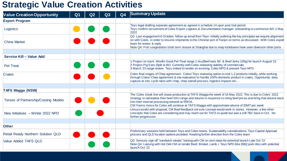### **Strategic Value Creation Activities**

| <b>Value Creation Opportunity</b>         | Q <sub>1</sub> | Q2 | Q3 | Q <sub>4</sub> | <b>Summary Update</b>                                                                                                                                                                                                                                                                                                                                                                     |
|-------------------------------------------|----------------|----|----|----------------|-------------------------------------------------------------------------------------------------------------------------------------------------------------------------------------------------------------------------------------------------------------------------------------------------------------------------------------------------------------------------------------------|
| <b>Export Program</b>                     |                |    |    |                |                                                                                                                                                                                                                                                                                                                                                                                           |
| Logistics                                 |                |    |    |                | Teys legal drafting separate agreement as agreed in schedule 14 upon post trial period<br>Teys confirm recruitment of Coles Export Logistics & Documentation manager, onboarding to commence WC 2 May<br>2022                                                                                                                                                                             |
| <b>China Market</b>                       |                |    |    |                | Q3. Last engagement 6 October, follow up email from Teys' initially outlining the key principles we require alignment<br>on with Coles, in order to resume shipments to the Chinese port of Tianjin on terms as discussed. With Coles export<br>team for review & reply<br>Note Q4: Port congestions/short term closure at Shanghai due to snap lockdowns have seen diversion other ports |
| Service Kill - Value Add                  |                |    |    |                |                                                                                                                                                                                                                                                                                                                                                                                           |
| <b>Pet Treat</b>                          |                |    |    |                | 1 Project on track: Woofin Good Pet Treat range 2 sku(Beef ears IW & Beef Jerky 100g) for launch August '22.<br>2 Project Pig Ears (5pkt & IW): Currently with Coles reviewing viability of commercials<br>3 March '23 range review: Teys invited to tender on existing, Coles NPD & present Teys NPD                                                                                     |
| <b>Crates</b>                             |                |    |    |                | Coles final stages of Chep agreement. Coles/Teys reviewing option to trial 1-2 products initially, while working<br>through Coles/ Chep agreement & site evaluation to handle 100% domestic product in crates. Opportunity: data<br>capture at site, cycle rates with chep, chep overall process, logistics impacts etc                                                                   |
| <b>TAFS Wagga (NSW)</b>                   |                |    |    |                |                                                                                                                                                                                                                                                                                                                                                                                           |
| Tenure of Partnership/Costing Models      |                |    |    |                | The Coles steak line will cease production at TAFS Wagga the week of 16 May 2022. This is due to Coles' 2022<br>strategy to rationalise their beef SKU range and volume in response to rising beef prices and bring that volume back<br>into their internal processing network at RROA.<br>CW Farms mince for Coles will continue at TAFS Wagga with approximate volume of 30MT per week  |
| New Initiatives - Winter 2022 NPD         |                |    |    |                | Unsuccessful with proposal, CM Beef feedback not sure concept would work in stores. However, a few other<br>concepts that Coles are considering and may reach out for TAFS to quote but was a still TBC back in Oct. No<br>further progression                                                                                                                                            |
|                                           |                |    |    |                |                                                                                                                                                                                                                                                                                                                                                                                           |
| <b>Other</b>                              |                |    |    |                |                                                                                                                                                                                                                                                                                                                                                                                           |
| <b>Retail Ready Northern Solution QLD</b> |                |    |    |                | Preliminary sessions held between Teys and Coles teams. Sustainability considerations, Teys Capital Approval<br>process and QLD location options provided. Awaiting further direction from the Coles team                                                                                                                                                                                 |
| <b>Value Added TAFS QLD</b>               |                |    |    |                | Q3. Sensory sign off "sandwich steaks" liaising with CM on next steps for potential launch Late Oct '22<br>Note Q4. Liaising with Hot Deli CM on tender Beef, Brisket, Lamb + Teys NPD (like BBQ pork ribs) with potential<br>launch Oct '22                                                                                                                                              |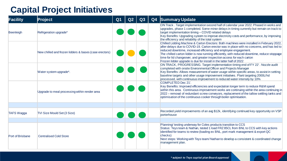## **Capital Project Initiatives**

| Facility          | Project                                                | Q <sub>1</sub> | Q2 | Q3 | Q4 | <b>Summary Update</b>                                                                                                                                                                                                                                                                                                                                                                                                                                                                                       |
|-------------------|--------------------------------------------------------|----------------|----|----|----|-------------------------------------------------------------------------------------------------------------------------------------------------------------------------------------------------------------------------------------------------------------------------------------------------------------------------------------------------------------------------------------------------------------------------------------------------------------------------------------------------------------|
| Beenleigh         | Refrigeration upgrade*                                 |                |    |    |    | ON Track. Target implementation second half of calendar year 2022. Phased in works and<br>upgrades, phase 1 completed. Some minor delays in timing currently but remain on track to<br>target implementation timing - COVID related delays<br>Key Benefits: Upgrading system to improve electricity costs and performance, by improving<br>the efficiency and reliability of the total system                                                                                                               |
|                   | New chilled and frozen lidders & bases (case erectors) |                |    |    |    | Chilled Lidding Machine & Carton Erectors: Both machines were installed in February 2022,<br>after delays due to COVID-19. Carton erector was in place with no concerns, and has led to<br>reduced downtime, increased efficiency and employee engagement.<br>The chilled carton lidder is now running efficiently, with reduced downtime, reduce stoppage<br>time for lid changeover, and greater inspection access for each carton<br>Frozen lidder upgrade is due for install in the latter half of 2022 |
|                   | Water system upgrade*.                                 |                |    |    |    | ON TRACK, PROGRESSING. Target implementation timing end of FY 22'. Nozzle audit<br>completed with onsite Environmental Officer and Projects Manager<br>Key Benefits: Allows measurement of water usage within specific areas, to assist in setting<br>baseline targets and other usage improvement initiatives. Plant targeting 2000L/hd<br>processed, with continuous improvement to reduced water intensity by 10%                                                                                        |
|                   | Upgrade to meal processing within render area          |                |    |    |    | COMPLETED Dec 21'.<br>Key Benefits: Improved efficiencies and expectation longer term to reduce R&M spend<br>within this area. Continuous improvement works are continuing within the area continuing in<br>2022 - removal of redundant screw conveyors, replacement of the tallow settling tanks and<br>optimisation of the continuous cooker through boiler optimisation.                                                                                                                                 |
|                   |                                                        |                |    |    |    |                                                                                                                                                                                                                                                                                                                                                                                                                                                                                                             |
| <b>TAFS Wagga</b> | TVI Size Mould Set (3 Size)                            |                |    |    |    | Recorded yield improvements of an avg \$12k, identifying continued key opportunity on VSP<br>porterhouse                                                                                                                                                                                                                                                                                                                                                                                                    |
|                   |                                                        |                |    |    |    |                                                                                                                                                                                                                                                                                                                                                                                                                                                                                                             |
| Port of Brisbane  | <b>Centralised Cold Store</b>                          |                |    |    |    | Planning/ testing underway for Coles products transition to CCS<br>Status: Teys team & Nathan, tested 1 load FRZ 85CL from BNL to CCS with key actions<br>identified for teams to review (loading ex BNL, port mark management & export QC<br>checks)<br>Next steps: Working with Teys team/ Nathan to develop a consistent & coordinated change<br>management plan.                                                                                                                                        |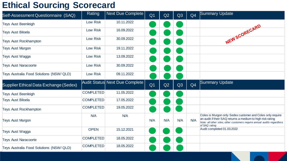## **Ethical Sourcing Scorecard**

| Self-Assessment Questionnaire (SAQ)      | Rating           | Next Due Complete              | Q <sub>1</sub> | Q2  | Q3  | Q <sub>4</sub> | Summary Update                                                                                                                                                                                                       |
|------------------------------------------|------------------|--------------------------------|----------------|-----|-----|----------------|----------------------------------------------------------------------------------------------------------------------------------------------------------------------------------------------------------------------|
| <b>Teys Aust Beenleigh</b>               | Low Risk         | 10.11.2022                     |                |     |     |                |                                                                                                                                                                                                                      |
| <b>Teys Aust Biloela</b>                 | Low Risk         | 16.09.2022                     |                |     |     |                |                                                                                                                                                                                                                      |
| <b>Teys Aust Rockhampton</b>             | Low Risk         | 30.09.2022                     |                |     |     |                | NEW SCORECARD                                                                                                                                                                                                        |
| <b>Teys Aust Murgon</b>                  | Low Risk         | 19.11.2022                     |                |     |     |                |                                                                                                                                                                                                                      |
| <b>Teys Aust Wagga</b>                   | Low Risk         | 13.09.2022                     |                |     |     |                |                                                                                                                                                                                                                      |
| <b>Teys Aust Naracoorte</b>              | Low Risk         | 30.09.2022                     |                |     |     |                |                                                                                                                                                                                                                      |
| Teys Australia Food Solutions (NSW/ QLD) | Low Risk         | 09.11.2022                     |                |     |     |                |                                                                                                                                                                                                                      |
| Supplier Ethical Data Exchange (Sedex)   |                  | Audit Status Next Due Complete | Q <sub>1</sub> | Q2  | Q3  | Q <sub>4</sub> | Summary Update                                                                                                                                                                                                       |
| <b>Teys Aust Beenleigh</b>               | <b>COMPLETED</b> | 11.05.2022                     |                |     |     |                |                                                                                                                                                                                                                      |
| <b>Teys Aust Biloela</b>                 | <b>COMPLETED</b> | 17.05.2022                     |                |     |     |                |                                                                                                                                                                                                                      |
| <b>Teys Aust Rockhampton</b>             | <b>COMPLETED</b> | 19.05.2022                     |                |     |     |                |                                                                                                                                                                                                                      |
| <b>Teys Aust Murgon</b>                  | N/A              | N/A                            | N/A            | N/A | N/A | N/A            | Coles is Murgon only Sedex customer and Coles only require<br>an audit if their SAQ returns a medium to high risk rating<br>Note: all other sites, other customers require annual audits regardless<br>of SAQ rating |
| <b>Teys Aust Wagga</b>                   | <b>OPEN</b>      | 15.12.2021                     |                |     |     |                | Audit completed 01.03.2022                                                                                                                                                                                           |
| <b>Teys Aust Naracoorte</b>              | <b>COMPLETED</b> | 18.05.2022                     |                |     |     |                |                                                                                                                                                                                                                      |
| Teys Australia Food Solutions (NSW/ QLD) | <b>COMPLETED</b> | 18.05.2022                     |                |     |     |                |                                                                                                                                                                                                                      |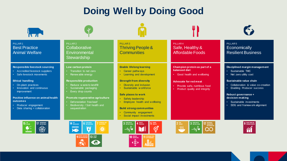## **Doing Well by Doing Good**

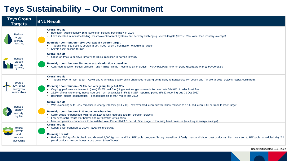## **Teys Sustainability – Our Commitment**

| <b>Teys Group</b><br><b>Targets</b>               | <b>BNL Result</b>                                                                                                                                                                                                                                                                                                                                                                                                                                                                                                                                                                                      |
|---------------------------------------------------|--------------------------------------------------------------------------------------------------------------------------------------------------------------------------------------------------------------------------------------------------------------------------------------------------------------------------------------------------------------------------------------------------------------------------------------------------------------------------------------------------------------------------------------------------------------------------------------------------------|
| Reduce<br>w ater<br>intensity<br>by 10%           | <b>Overall result</b><br>Beenleigh water intensity 15% low er than industry benchmark in 2020<br>Have invested in industry-leading wastewater treatment systems and set very challenging stretch targets (almost 25% low er than industry average)<br>Beenleigh contribution - 15% over actual v stretch target<br>Tracking over site specific stretch target. Flood event a contributor to additional water<br>Nozzle audit actions formed                                                                                                                                                            |
| Reduce<br>carbon<br>intensity<br>by 20%           | <b>Overall result</b><br>Group on track to achieve target with 18.8% reduction in carbon intensity<br>Beenleigh contribution - 9% under actual reduction v baseline<br>Continued focus on biogas utilisation and minimal flaring - less that 1% of biogas - holding number one for group renewable energy performance                                                                                                                                                                                                                                                                                  |
| Source<br>30% of our<br>energy via<br>renew ables | <b>Overall result</b><br>Tracking okay to meet target - Covid and war related supply chain challenges creating some delay to Naracoorte HV/cogen and Tamw orth solar projects (capex committed).<br>Beenleigh contribution - 22.6% actual v group target of 30%<br>Ongoing performance tweaks to (new) 10MW dual fuel (biogas/natural gas) steam boiler - offsets 30-40% of boiler fossil fuel<br>22.6% of total site energy needs sourced from renew ables in FY21 NGER reporting period (FY22 reporting due 31 Oct 2022)<br>Beenleigh biogas cogeneration - concept design to start mid to late 2022 |
| Reduce<br>energy<br>intensity<br>by $6%$          | <b>Overall result</b><br>Was exceeding with 8.6% reduction in energy intensity (EOFY19), how ever production downturn has reduced to 1.1% reduction. Still on track to meet target.<br>Beenleigh contribution - 11% reduction v baseline<br>Some delays experienced with roll out LED lighting upgrade and refrigeration projects<br>How ever, solid results via thermal and refrigeration efficiencies<br>New refrigeration condensers to be installed over Easter/ANZAC period. Final stage for low ering head pressure (resulting in energy savings)                                                |
| Reduce,<br>recycle<br>and<br>remove<br>packaging  | <b>Overall result</b><br>Supply chain transition to 100% REDcycle underway<br><b>Beenleigh result</b><br>Reduced 800 kg of soft plastic and diverted 4,000 kg from landfill to REDcycle program (through transition of family roast and blade roast products). Next transition to REDcycle scheduled May '22<br>(retail products marrow bones, soup bones & beef bones)                                                                                                                                                                                                                                |

Report last updated:12.04.2022